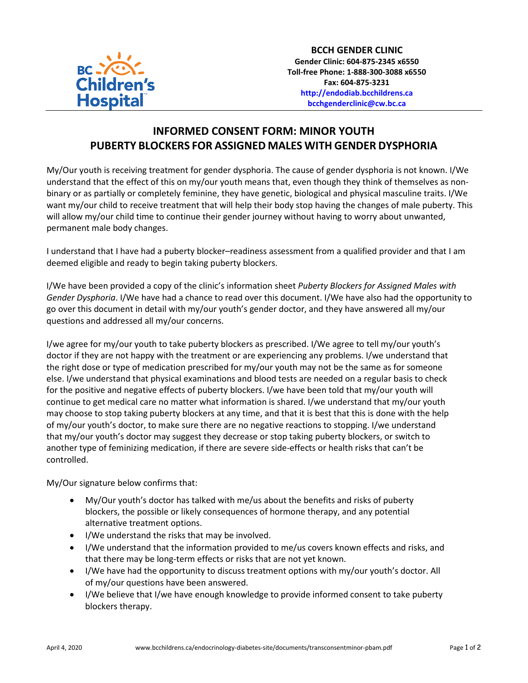

## **INFORMED CONSENT FORM: MINOR YOUTH PUBERTY BLOCKERS FOR ASSIGNED MALES WITH GENDER DYSPHORIA**

My/Our youth is receiving treatment for gender dysphoria. The cause of gender dysphoria is not known. I/We understand that the effect of this on my/our youth means that, even though they think of themselves as nonbinary or as partially or completely feminine, they have genetic, biological and physical masculine traits. I/We want my/our child to receive treatment that will help their body stop having the changes of male puberty. This will allow my/our child time to continue their gender journey without having to worry about unwanted, permanent male body changes.

I understand that I have had a puberty blocker–readiness assessment from a qualified provider and that I am deemed eligible and ready to begin taking puberty blockers.

I/We have been provided a copy of the clinic's information sheet *Puberty Blockers for Assigned Males with Gender Dysphoria*. I/We have had a chance to read over this document. I/We have also had the opportunity to go over this document in detail with my/our youth's gender doctor, and they have answered all my/our questions and addressed all my/our concerns.

I/we agree for my/our youth to take puberty blockers as prescribed. I/We agree to tell my/our youth's doctor if they are not happy with the treatment or are experiencing any problems. I/we understand that the right dose or type of medication prescribed for my/our youth may not be the same as for someone else. I/we understand that physical examinations and blood tests are needed on a regular basis to check for the positive and negative effects of puberty blockers. I/we have been told that my/our youth will continue to get medical care no matter what information is shared. I/we understand that my/our youth may choose to stop taking puberty blockers at any time, and that it is best that this is done with the help of my/our youth's doctor, to make sure there are no negative reactions to stopping. I/we understand that my/our youth's doctor may suggest they decrease or stop taking puberty blockers, or switch to another type of feminizing medication, if there are severe side-effects or health risks that can't be controlled.

My/Our signature below confirms that:

- My/Our youth's doctor has talked with me/us about the benefits and risks of puberty blockers, the possible or likely consequences of hormone therapy, and any potential alternative treatment options.
- I/We understand the risks that may be involved.
- I/We understand that the information provided to me/us covers known effects and risks, and that there may be long-term effects or risks that are not yet known.
- I/We have had the opportunity to discuss treatment options with my/our youth's doctor. All of my/our questions have been answered.
- I/We believe that I/we have enough knowledge to provide informed consent to take puberty blockers therapy.